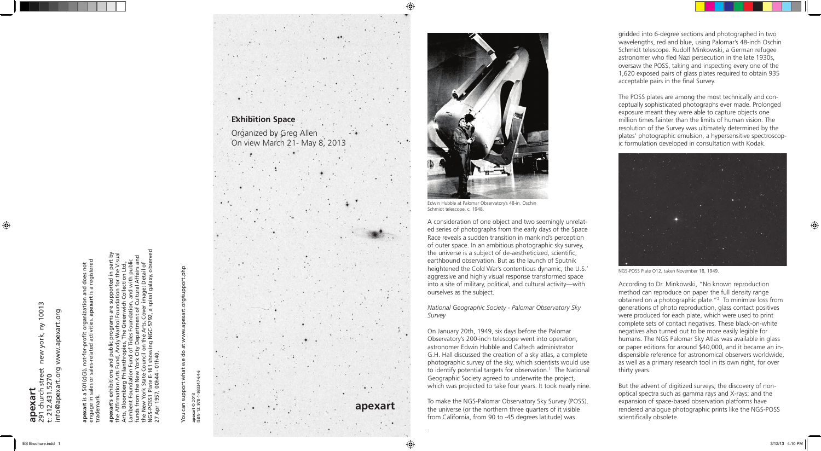## 10013 291 church street new york, ny 10013 www.apexart.org info@apexart.org www.apexart.org  $\geq$ new york, apexart.org 5270 t: 212.431.5270 **apexart**  $\ddot{a}$

does not<br>registered engage in sales or sales-related activities. **apexart** is a registered **apexart** is a 501(c)(3), not-for-profit organization and does not a 501(c)(3), not-for-profit organization and<br>sales or sales-related activities. apexart is a trademark. ⊇. ∾.

gridded into 6-degree sections and photographed in two wavelengths, red and blue, using Palomar's 48-inch Oschin Schmidt telescope. Rudolf Minkowski, a German refugee astronomer who fled Nazi persecution in the late 1930s, oversaw the POSS, taking and inspecting every one of the 1,620 exposed pairs of glass plates required to obtain 935 acceptable pairs in the final Survey.



The POSS plates are among the most technically and conceptually sophisticated photographs ever made. Prolonged exposure meant they were able to capture objects one million times fainter than the limits of human vision. The resolution of the Survey was ultimately determined by the plates' photographic emulsion, a hypersensitive spectroscopic formulation developed in consultation with Kodak.

According to Dr. Minkowski, "No known reproduction method can reproduce on paper the full density range obtained on a photographic plate."2 To minimize loss from generations of photo reproduction, glass contact positives were produced for each plate, which were used to print complete sets of contact negatives. These black-on-white negatives also turned out to be more easily legible for humans. The NGS Palomar Sky Atlas was available in glass or paper editions for around \$40,000, and it became an indispensible reference for astronomical observers worldwide, as well as a primary research tool in its own right, for over thirty years. But the advent of digitized surveys; the discovery of non-

# You can support what we do at www.apexart.org/support.php 유 support Vou

64-6 ISBN-13: 978-1-933347-64-6 apexart © 2013<br>ISBN-13: 978-1-933347**apexart** © 2013

optical spectra such as gamma rays and X-rays; and the expansion of space-based observation platforms have rendered analogue photographic prints like the NGS-POSS scientifically obsolete.

**apexart's** exhibitions and public programs are supported in part by the Affirmation Arts Fund, Andy Warhol Foundation for the Visual Arts, Bloomberg Philanthropies, The Greenwich Collection Ltd., Lambent Foundation Fund of Tides Foundation, and with public funds from the New York City Department of Cultural Affairs and the New York State Council on the Arts. Cover image: Detail of NGS-POSS1 Plate E-161 showing NGC-5792, a spiral galaxy, observed 27 Apr 1957, 00h44 - 01h40.

A consideration of one object and two seemingly unrelated series of photographs from the early days of the Space Race reveals a sudden transition in mankind's perception of outer space. In an ambitious photographic sky survey, the universe is a subject of de-aestheticized, scientific, earthbound observation. But as the launch of Sputnik heightened the Cold War's contentious dynamic, the U.S.' aggressive and highly visual response transformed space into a site of military, political, and cultural activity—with ourselves as the subject.

### *National Geographic Society - Palomar Observatory Sky Survey*

On January 20th, 1949, six days before the Palomar Observatory's 200-inch telescope went into operation, astronomer Edwin Hubble and Caltech administrator G.H. Hall discussed the creation of a sky atlas, a complete photographic survey of the sky, which scientists would use to identify potential targets for observation.<sup>1</sup> The National Geographic Society agreed to underwrite the project, which was projected to take four years. It took nearly nine.

To make the NGS-Palomar Observatory Sky Survey (POSS), the universe (or the northern three quarters of it visible from California, from 90 to -45 degrees latitude) was

.





Edwin Hubble at Palomar Observatory's 48-in. Oschin Schmidt telescope, c. 1948.

NGS-POSS Plate O12, taken November 18, 1949.